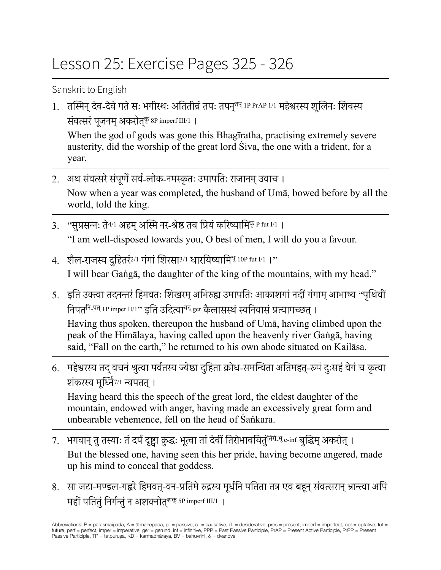## Lesson 25: Exercise Pages 325 - 326

Sanskrit to English

1. तस्मिन् देव-देवे गते सः भगीरथः अतितीव्रं तपः तपन्<sup>तप् IP PrAP 1/1</sup> महेश्वरस्य शूलिनः शिवस्य संवत्सरं पूजनम् अकरोत्<sup>कृ 8P</sup> imperf III/1 |

When the god of gods was gone this Bhagīratha, practising extremely severe austerity, did the worship of the great lord Siva, the one with a trident, for a year.

- 2. अथ संवत्सरे संपूर्णे सर्व-लोक-नमस्कृतः उमापतिः राजानम् उवाच । Now when a year was completed, the husband of Umā, bowed before by all the world, told the king.
- $3.$  "सुप्रसन्नः ते $4/1$  अहम् अस्मि नर-श्रेष्ठ तव प्रियं करिष्यामि<sup>कृ P fut I/1 ।</sup> "I am well-disposed towards you, O best of men, I will do you a favour.
- 4. शैल-राजस्य दहितरं<sup>2/1</sup> गंगां शिरसा<sup>3/1</sup> धारयिष्यामि<sup>धृ</sup> 10P fut I/1 ।" I will bear Gaṅgā, the daughter of the king of the mountains, with my head."
- 5. इति उक्त्वा तदनन्तरं हिमवतः शिखरम् अभिरुह्य उमापतिः आकाशगां नदीं गंगाम् आभाष्य "पृथिवीं निपत<sup>नि-पत्</sup> 1P imper II/1" इति उदित्वा<sup>वद्</sup> ger कैलासस्थं स्वनिवासं प्रत्यागच्छत् । Having thus spoken, thereupon the husband of Umā, having climbed upon the peak of the Himālaya, having called upon the heavenly river Gaṅgā, having said, "Fall on the earth," he returned to his own abode situated on Kailāsa.
- 6. महेश्वरस्य तद वचनं श्रुत्वा पर्वतस्य ज्येष्ठा दहिता क्रोध-समन्विता अतिमहत्-रूपं दःसहं वेगं च कृत्वा शंकरस्य मूर्ध्नि7/1 न्यपतत्।

Having heard this the speech of the great lord, the eldest daughter of the mountain, endowed with anger, having made an excessively great form and unbearable vehemence, fell on the head of Śaṅkara.

- 7. भगवान् तु तस्याः तं दर्पं दृष्ट्वा क्रुद्धः भूत्वा तां देवीं तिरोभावयितुं<sup>तिरो-भू</sup> c-inf बुद्धिम् अकरोत् । But the blessed one, having seen this her pride, having become angered, made up his mind to conceal that goddess.
- 8. सा जटा-मण्डल-गह्वरे हिमवत्-वन-प्रतिमे रुद्रस्य मूर्धनि पतिता तत्र एव बहून् संवत्सरान् भ्रान्त्वा अपि महीं पतितुं निर्गन्तुं न अशक्नोत्<sup>शक्</sup> 5P imperf III/1 ।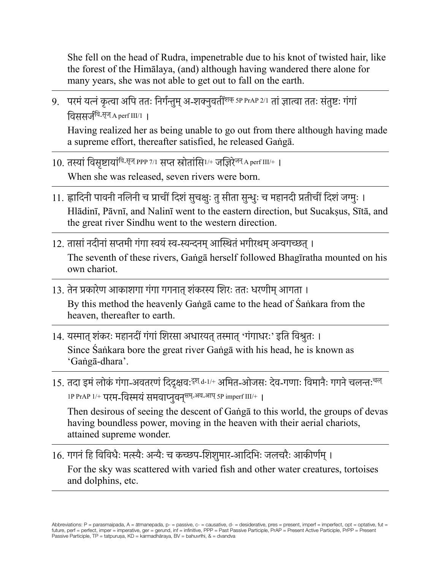She fell on the head of Rudra, impenetrable due to his knot of twisted hair, like the forest of the Himālaya, (and) although having wandered there alone for many years, she was not able to get out to fall on the earth.

9. परमं यत्नं कृत्वा अपि ततः निर्गन्तुम् अ-शक्नुवतीं<sup>शक्</sup> 5P PrAP 2/1 तां ज्ञात्वा ततः संतुष्टः गंगां विससर्जवि-सृज् A perf III/1 ।

Having realized her as being unable to go out from there although having made a supreme effort, thereafter satisfied, he released Gaṅgā.

 $10.$  तस्यां विसष्टायां<sup>वि-सृज्</sup> PPP 7/1 सप्त स्रोतांसि<sup>1/+</sup> जज़िरे<sup>जन्</sup> A perf III/+ ।

When she was released, seven rivers were born.

- 11. ह्लादिनी पावनी नलिनी च प्राचीं दिशंसुचक्षुः तुसीता सुन्धुः च महानदी प्रतीचीं दिशंजग्मुः । Hlādinī, Pāvnī, and Nalinī went to the eastern direction, but Sucakṣus, Sītā, and the great river Sindhu went to the western direction.
- 12. तासां नदीनां सप्तमी गंगा स्वयं स्व-स्यन्दनम् आस्थितं भगीरथम् अन्वगच्छत् । The seventh of these rivers, Gaṅgā herself followed Bhagīratha mounted on his own chariot.
- 13. तेन प्रकारेण आकाशगा गंगा गगनात् शंकरस्य शिरः ततः धरणीम् आगता । By this method the heavenly Gaṅgā came to the head of Śaṅkara from the heaven, thereafter to earth.
- 14. यस्मात् शंकरः महानदीं गंगां शिरसा अधारयत् तस्मात् 'गंगाधरः' इति विश्रुतः । Since Śaṅkara bore the great river Gaṅgā with his head, he is known as 'Gaṅgā-dhara'.
- 15. तदा इमं लोकं गंगा-अवतरणं दिदुक्षवः<sup>दृश् d-1/+</sup> अमित-ओजसः देव-गणाः विमानैः गगने चलन्तः<sup>चल्</sup> 1P PrAP 1/+ परम-विस्मयं समवाप्नुवनु<sup>सम्</sup>-अव-आप् 5P imperf III/+ |

Then desirous of seeing the descent of Gaṅgā to this world, the groups of devas having boundless power, moving in the heaven with their aerial chariots, attained supreme wonder.

16. गगनंहि विविधैः मत्स्यैः अन्यैः च कच्छप-शिशुमार-आदिभिः जलचरैः आकीर्णम्। For the sky was scattered with varied fish and other water creatures, tortoises and dolphins, etc.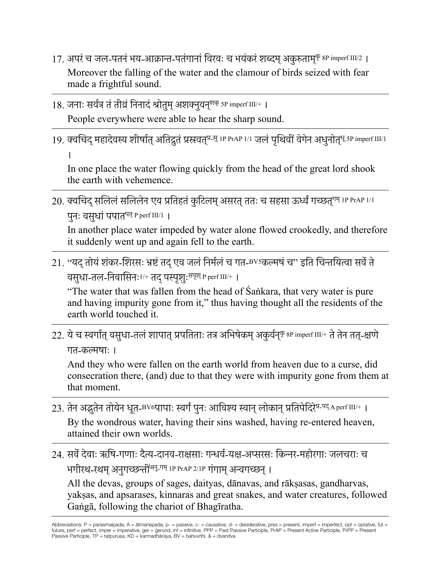- 17. अपरं च जल-पतनं भय-आक्रान्त-पतंगानां विरवः च भयंकरं शब्दम् अकुरुताम्<sup>कृ</sup> 8P imperf III/2 । Moreover the falling of the water and the clamour of birds seized with fear made a frightful sound.
- 18. जनाः सर्वत्र तं तीव्रं निनादं श्रोतुम् अशक्नुवनु<sup>शक्</sup> 5P imperf III/+ । People everywhere were able to hear the sharp sound.
- 19. क्वचिद् महादेवस्य शीर्षात् अतिद्रुतं प्रस्रवत्<sup>प्र-सु</sup> 1P PrAP 1/1 जलं पृथिवीं वेगेन अधुनोत्<sup>धू 5P imperf III/1</sup>

In one place the water flowing quickly from the head of the great lord shook the earth with vehemence.

20. क्वचिद् सलिलं सलिलेन एव प्रतिहतं कुटिलम् असरत् ततः च सहसा ऊर्ध्वं गच्छत्<sup>गम् 1P PrAP 1/1</sup> पनः वसुधां पपात<sup>पत् P perf III/1 |</sup>

In another place water impeded by water alone flowed crookedly, and therefore it suddenly went up and again fell to the earth.

21. "यद्तोयंशंकर-शिरसः भ्रष्टंतद्एव जलंनिर्मलंच गत-BV5कल्मषंच" इति चिन्तयित्वा सर्वेते वसुधा-तल-निवासिनः1/+ तद्पस्पृशुःसपृश् P perf III/+ ।

"The water that was fallen from the head of Śaṅkara, that very water is pure and having impurity gone from it," thus having thought all the residents of the earth world touched it.

 $22.$  ये च स्वर्गात् वसुधा-तलं शापात् प्रपतिताः तत्र अभिषेकम् अकुर्वन्<sup>कृ 8P</sup> imperf III/+ ते तेन तत्-क्षणे गत-कल्मषाः ।

And they who were fallen on the earth world from heaven due to a curse, did consecration there, (and) due to that they were with impurity gone from them at that moment.

- 23. तेन अद्भुतेन तोयेन धूत-BV6पापाः स्वर्गं पूनः आविश्य स्वान् लोकान् प्रतिपेदिरे<sup>प्र-पद्</sup> A perf III/+ । By the wondrous water, having their sins washed, having re-entered heaven, attained their own worlds.
- 24. सर्वेदेवाः ऋषि-गणाः दैत्य-दानव-राक्षसाः गन्धर्व-यक्ष-अप्सरसः किन्नर-महोरगाः जलचराः च भगीरथ-रथम् अनुगच्छन्तीं<sup>अनु-गम् 1P PrAP 2/1P गंगाम् अन्वगच्छन् ।</sup>

All the devas, groups of sages, daityas, dānavas, and rākṣasas, gandharvas, yakṣas, and apsarases, kinnaras and great snakes, and water creatures, followed Gaṅgā, following the chariot of Bhagīratha.